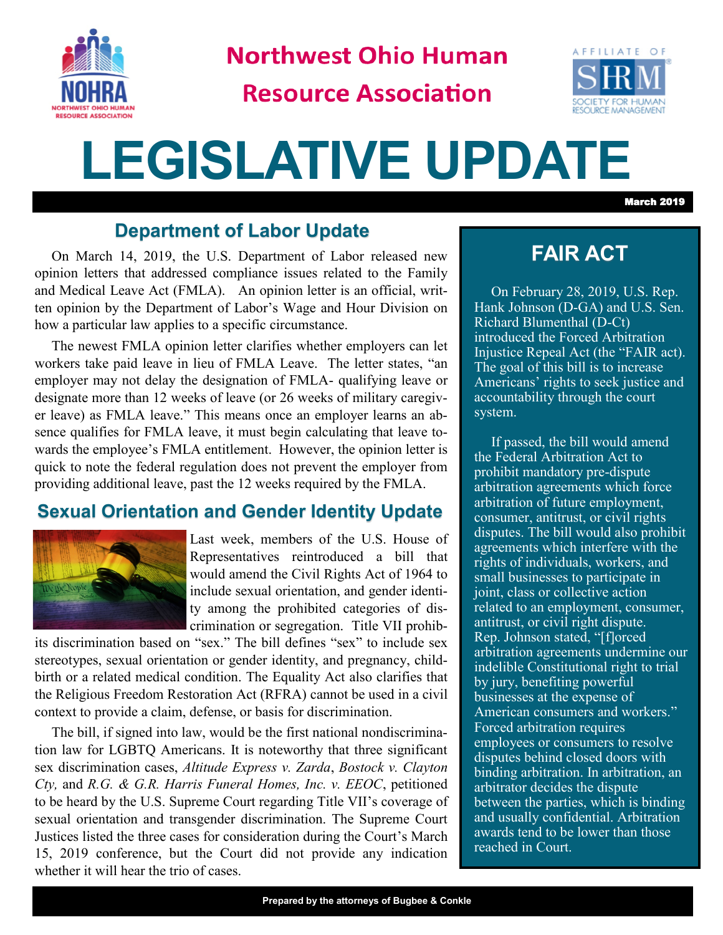

**Northwest Ohio Human** 

**Resource Association** 



# **LEGISLATIVE UPDATE**

March 2019

## **Department of Labor Update**

On March 14, 2019, the U.S. Department of Labor released new opinion letters that addressed compliance issues related to the Family and Medical Leave Act (FMLA). An opinion letter is an official, written opinion by the Department of Labor's Wage and Hour Division on how a particular law applies to a specific circumstance.

The newest FMLA opinion letter clarifies whether employers can let workers take paid leave in lieu of FMLA Leave. The letter states, "an employer may not delay the designation of FMLA- qualifying leave or designate more than 12 weeks of leave (or 26 weeks of military caregiver leave) as FMLA leave." This means once an employer learns an absence qualifies for FMLA leave, it must begin calculating that leave towards the employee's FMLA entitlement. However, the opinion letter is quick to note the federal regulation does not prevent the employer from providing additional leave, past the 12 weeks required by the FMLA.

## **Sexual Orientation and Gender Identity Update**



Last week, members of the U.S. House of Representatives reintroduced a bill that would amend the Civil Rights Act of 1964 to include sexual orientation, and gender identity among the prohibited categories of discrimination or segregation. Title VII prohib-

its discrimination based on "sex." The bill defines "sex" to include sex stereotypes, sexual orientation or gender identity, and pregnancy, childbirth or a related medical condition. The Equality Act also clarifies that the Religious Freedom Restoration Act (RFRA) cannot be used in a civil context to provide a claim, defense, or basis for discrimination.

The bill, if signed into law, would be the first national nondiscrimination law for LGBTQ Americans. It is noteworthy that three significant sex discrimination cases, *Altitude Express v. Zarda*, *Bostock v. Clayton Cty,* and *R.G. & G.R. Harris Funeral Homes, Inc. v. EEOC*, petitioned to be heard by the U.S. Supreme Court regarding Title VII's coverage of sexual orientation and transgender discrimination. The Supreme Court Justices listed the three cases for consideration during the Court's March 15, 2019 conference, but the Court did not provide any indication whether it will hear the trio of cases.

## **FAIR ACT**

On February 28, 2019, U.S. Rep. Hank Johnson (D-GA) and U.S. Sen. Richard Blumenthal (D-Ct) introduced the Forced Arbitration Injustice Repeal Act (the "FAIR act). The goal of this bill is to increase Americans' rights to seek justice and accountability through the court system.

If passed, the bill would amend the Federal Arbitration Act to prohibit mandatory pre-dispute arbitration agreements which force arbitration of future employment, consumer, antitrust, or civil rights disputes. The bill would also prohibit agreements which interfere with the rights of individuals, workers, and small businesses to participate in joint, class or collective action related to an employment, consumer, antitrust, or civil right dispute. Rep. Johnson stated, "[f]orced arbitration agreements undermine our indelible Constitutional right to trial by jury, benefiting powerful businesses at the expense of American consumers and workers." Forced arbitration requires employees or consumers to resolve disputes behind closed doors with binding arbitration. In arbitration, an arbitrator decides the dispute between the parties, which is binding and usually confidential. Arbitration awards tend to be lower than those reached in Court.